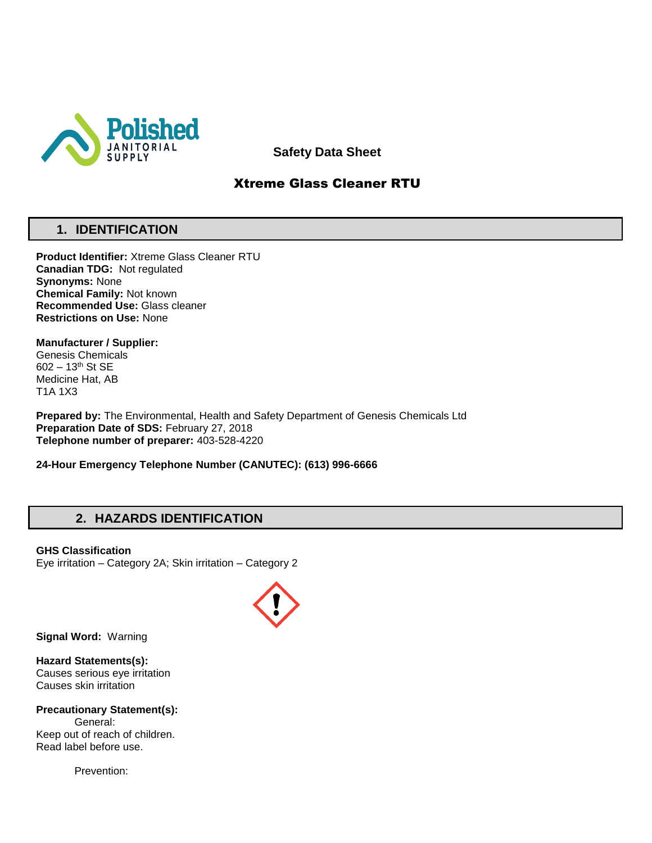

**Safety Data Sheet**

# Xtreme Glass Cleaner RTU

# **1. IDENTIFICATION**

**Product Identifier:** Xtreme Glass Cleaner RTU **Canadian TDG:** Not regulated **Synonyms:** None **Chemical Family:** Not known **Recommended Use:** Glass cleaner **Restrictions on Use:** None

**Manufacturer / Supplier:** Genesis Chemicals 602 – 13th St SE Medicine Hat, AB

T1A 1X3

**Prepared by:** The Environmental, Health and Safety Department of Genesis Chemicals Ltd **Preparation Date of SDS:** February 27, 2018 **Telephone number of preparer:** 403-528-4220

**24-Hour Emergency Telephone Number (CANUTEC): (613) 996-6666**

## **2. HAZARDS IDENTIFICATION**

**GHS Classification** Eye irritation – Category 2A; Skin irritation – Category 2



**Signal Word:** Warning

**Hazard Statements(s):** Causes serious eye irritation Causes skin irritation

**Precautionary Statement(s):** General: Keep out of reach of children. Read label before use.

Prevention: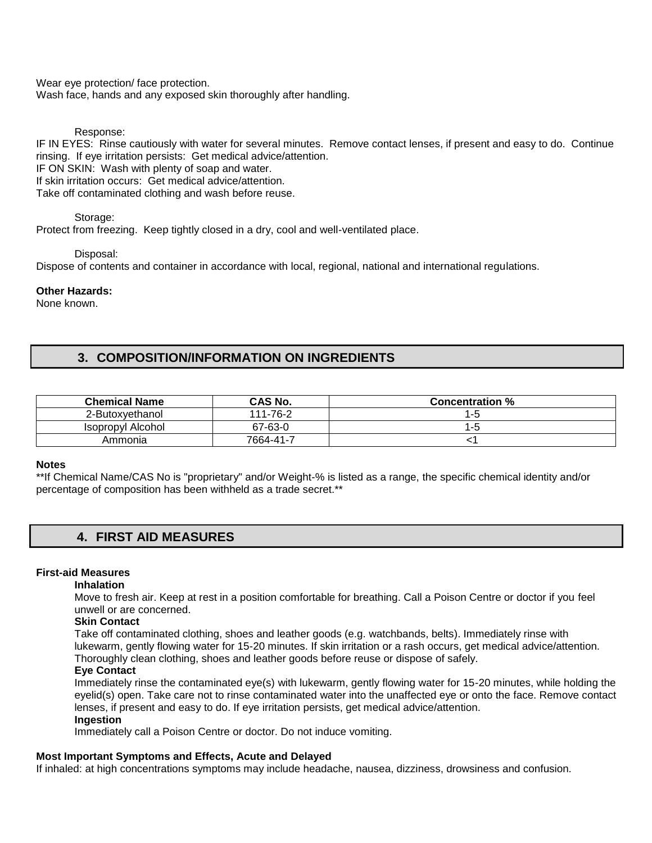Wear eye protection/ face protection. Wash face, hands and any exposed skin thoroughly after handling.

Response:

IF IN EYES: Rinse cautiously with water for several minutes. Remove contact lenses, if present and easy to do. Continue rinsing. If eye irritation persists: Get medical advice/attention.

IF ON SKIN: Wash with plenty of soap and water.

If skin irritation occurs: Get medical advice/attention.

Take off contaminated clothing and wash before reuse.

Storage:

Protect from freezing. Keep tightly closed in a dry, cool and well-ventilated place.

Disposal:

Dispose of contents and container in accordance with local, regional, national and international regulations.

#### **Other Hazards:**

None known.

## **3. COMPOSITION/INFORMATION ON INGREDIENTS**

| <b>Chemical Name</b> | CAS No.   | <b>Concentration %</b> |
|----------------------|-----------|------------------------|
| 2-Butoxvethanol      | 111-76-2  | l-t                    |
| Isopropyl Alcohol    | 67-63-0   | l - 0                  |
| Ammonia              | 7664-41-7 |                        |

#### **Notes**

\*\*If Chemical Name/CAS No is "proprietary" and/or Weight-% is listed as a range, the specific chemical identity and/or percentage of composition has been withheld as a trade secret.\*\*

## **4. FIRST AID MEASURES**

#### **First-aid Measures**

#### **Inhalation**

Move to fresh air. Keep at rest in a position comfortable for breathing. Call a Poison Centre or doctor if you feel unwell or are concerned.

## **Skin Contact**

Take off contaminated clothing, shoes and leather goods (e.g. watchbands, belts). Immediately rinse with lukewarm, gently flowing water for 15-20 minutes. If skin irritation or a rash occurs, get medical advice/attention. Thoroughly clean clothing, shoes and leather goods before reuse or dispose of safely.

#### **Eye Contact**

Immediately rinse the contaminated eye(s) with lukewarm, gently flowing water for 15-20 minutes, while holding the eyelid(s) open. Take care not to rinse contaminated water into the unaffected eye or onto the face. Remove contact lenses, if present and easy to do. If eye irritation persists, get medical advice/attention. **Ingestion** 

Immediately call a Poison Centre or doctor. Do not induce vomiting.

#### **Most Important Symptoms and Effects, Acute and Delayed**

If inhaled: at high concentrations symptoms may include headache, nausea, dizziness, drowsiness and confusion.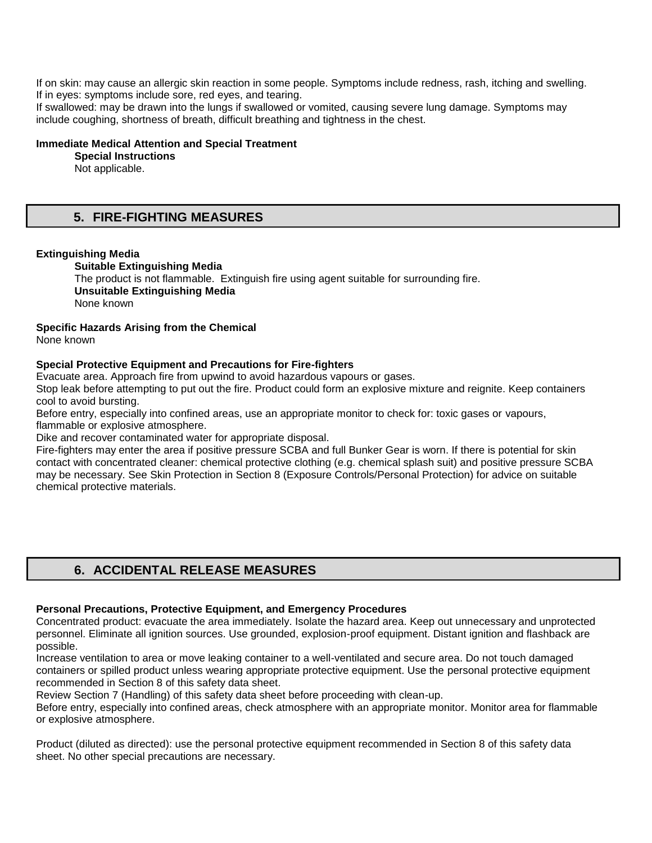If on skin: may cause an allergic skin reaction in some people. Symptoms include redness, rash, itching and swelling. If in eyes: symptoms include sore, red eyes, and tearing.

If swallowed: may be drawn into the lungs if swallowed or vomited, causing severe lung damage. Symptoms may include coughing, shortness of breath, difficult breathing and tightness in the chest.

### **Immediate Medical Attention and Special Treatment**

**Special Instructions** 

Not applicable.

# **5. FIRE-FIGHTING MEASURES**

### **Extinguishing Media**

**Suitable Extinguishing Media** The product is not flammable. Extinguish fire using agent suitable for surrounding fire.

**Unsuitable Extinguishing Media** 

None known

## **Specific Hazards Arising from the Chemical**

None known

## **Special Protective Equipment and Precautions for Fire-fighters**

Evacuate area. Approach fire from upwind to avoid hazardous vapours or gases.

Stop leak before attempting to put out the fire. Product could form an explosive mixture and reignite. Keep containers cool to avoid bursting.

Before entry, especially into confined areas, use an appropriate monitor to check for: toxic gases or vapours, flammable or explosive atmosphere.

Dike and recover contaminated water for appropriate disposal.

Fire-fighters may enter the area if positive pressure SCBA and full Bunker Gear is worn. If there is potential for skin contact with concentrated cleaner: chemical protective clothing (e.g. chemical splash suit) and positive pressure SCBA may be necessary. See Skin Protection in Section 8 (Exposure Controls/Personal Protection) for advice on suitable chemical protective materials.

## **6. ACCIDENTAL RELEASE MEASURES**

## **Personal Precautions, Protective Equipment, and Emergency Procedures**

Concentrated product: evacuate the area immediately. Isolate the hazard area. Keep out unnecessary and unprotected personnel. Eliminate all ignition sources. Use grounded, explosion-proof equipment. Distant ignition and flashback are possible.

Increase ventilation to area or move leaking container to a well-ventilated and secure area. Do not touch damaged containers or spilled product unless wearing appropriate protective equipment. Use the personal protective equipment recommended in Section 8 of this safety data sheet.

Review Section 7 (Handling) of this safety data sheet before proceeding with clean-up.

Before entry, especially into confined areas, check atmosphere with an appropriate monitor. Monitor area for flammable or explosive atmosphere.

Product (diluted as directed): use the personal protective equipment recommended in Section 8 of this safety data sheet. No other special precautions are necessary.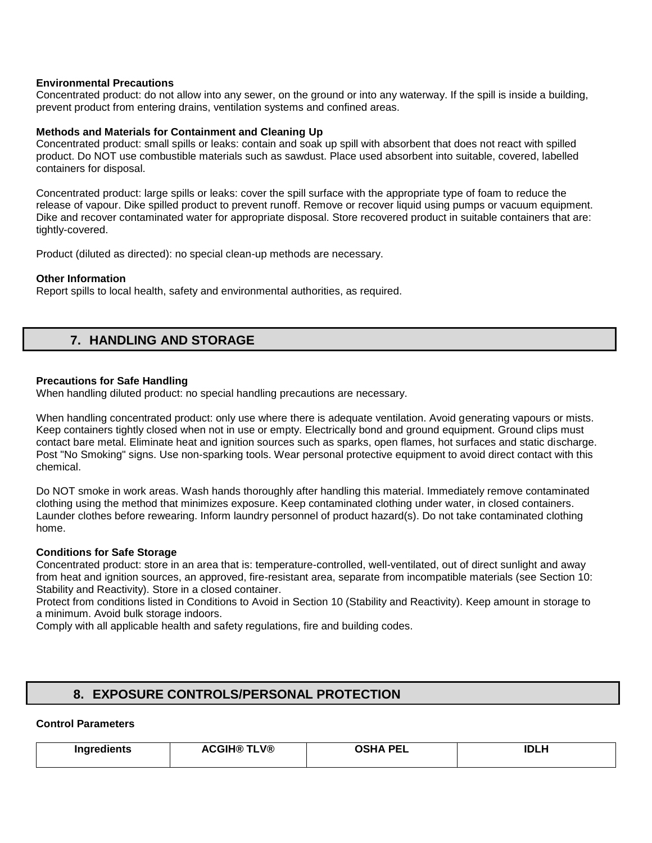### **Environmental Precautions**

Concentrated product: do not allow into any sewer, on the ground or into any waterway. If the spill is inside a building, prevent product from entering drains, ventilation systems and confined areas.

### **Methods and Materials for Containment and Cleaning Up**

Concentrated product: small spills or leaks: contain and soak up spill with absorbent that does not react with spilled product. Do NOT use combustible materials such as sawdust. Place used absorbent into suitable, covered, labelled containers for disposal.

Concentrated product: large spills or leaks: cover the spill surface with the appropriate type of foam to reduce the release of vapour. Dike spilled product to prevent runoff. Remove or recover liquid using pumps or vacuum equipment. Dike and recover contaminated water for appropriate disposal. Store recovered product in suitable containers that are: tightly-covered.

Product (diluted as directed): no special clean-up methods are necessary.

#### **Other Information**

Report spills to local health, safety and environmental authorities, as required.

## **7. HANDLING AND STORAGE**

### **Precautions for Safe Handling**

When handling diluted product: no special handling precautions are necessary.

When handling concentrated product: only use where there is adequate ventilation. Avoid generating vapours or mists. Keep containers tightly closed when not in use or empty. Electrically bond and ground equipment. Ground clips must contact bare metal. Eliminate heat and ignition sources such as sparks, open flames, hot surfaces and static discharge. Post "No Smoking" signs. Use non-sparking tools. Wear personal protective equipment to avoid direct contact with this chemical.

Do NOT smoke in work areas. Wash hands thoroughly after handling this material. Immediately remove contaminated clothing using the method that minimizes exposure. Keep contaminated clothing under water, in closed containers. Launder clothes before rewearing. Inform laundry personnel of product hazard(s). Do not take contaminated clothing home.

#### **Conditions for Safe Storage**

Concentrated product: store in an area that is: temperature-controlled, well-ventilated, out of direct sunlight and away from heat and ignition sources, an approved, fire-resistant area, separate from incompatible materials (see Section 10: Stability and Reactivity). Store in a closed container.

Protect from conditions listed in Conditions to Avoid in Section 10 (Stability and Reactivity). Keep amount in storage to a minimum. Avoid bulk storage indoors.

Comply with all applicable health and safety regulations, fire and building codes.

## **8. EXPOSURE CONTROLS/PERSONAL PROTECTION**

## **Control Parameters**

| <b>IMMURALIANAE</b><br>. | <b>\CGIH® TLV®</b><br><b>ACGIH®</b><br>____ | <b>ACUA DEI</b><br>יי<br>-- | <b>IDLH</b> |
|--------------------------|---------------------------------------------|-----------------------------|-------------|
|                          |                                             |                             |             |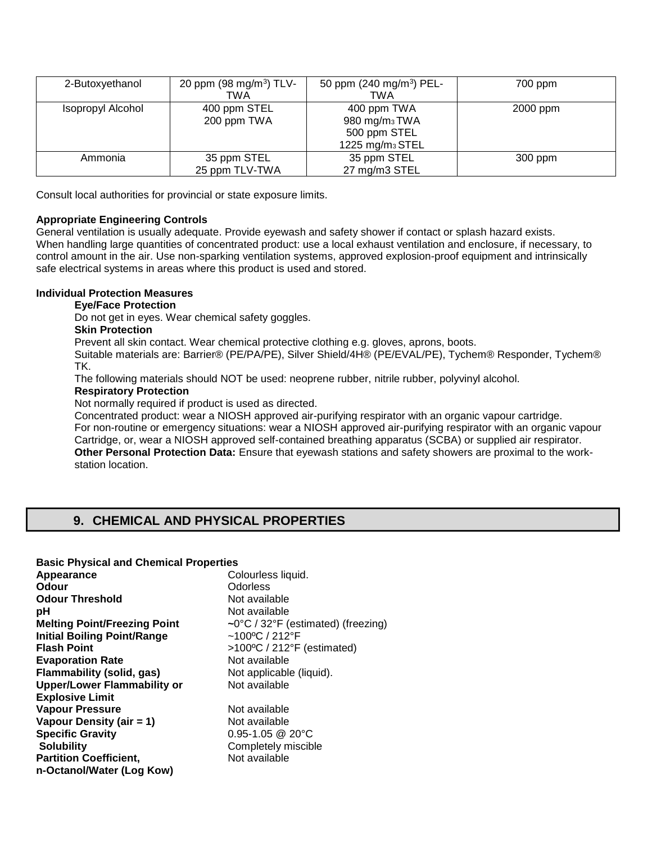| 2-Butoxyethanol   | 20 ppm (98 mg/m <sup>3</sup> ) TLV-<br>TWA | 50 ppm (240 mg/m <sup>3</sup> ) PEL-<br><b>TWA</b>                                      | 700 ppm  |
|-------------------|--------------------------------------------|-----------------------------------------------------------------------------------------|----------|
| Isopropyl Alcohol | 400 ppm STEL<br>200 ppm TWA                | 400 ppm TWA<br>980 mg/m <sub>3</sub> TWA<br>500 ppm STEL<br>1225 mg/m <sub>3</sub> STEL | 2000 ppm |
| Ammonia           | 35 ppm STEL<br>25 ppm TLV-TWA              | 35 ppm STEL<br>27 mg/m3 STEL                                                            | 300 ppm  |

Consult local authorities for provincial or state exposure limits.

## **Appropriate Engineering Controls**

General ventilation is usually adequate. Provide eyewash and safety shower if contact or splash hazard exists. When handling large quantities of concentrated product: use a local exhaust ventilation and enclosure, if necessary, to control amount in the air. Use non-sparking ventilation systems, approved explosion-proof equipment and intrinsically safe electrical systems in areas where this product is used and stored.

## **Individual Protection Measures**

### **Eye/Face Protection**

Do not get in eyes. Wear chemical safety goggles.

### **Skin Protection**

Prevent all skin contact. Wear chemical protective clothing e.g. gloves, aprons, boots.

Suitable materials are: Barrier® (PE/PA/PE), Silver Shield/4H® (PE/EVAL/PE), Tychem® Responder, Tychem® TK.

The following materials should NOT be used: neoprene rubber, nitrile rubber, polyvinyl alcohol.

#### **Respiratory Protection**

Not normally required if product is used as directed.

Concentrated product: wear a NIOSH approved air-purifying respirator with an organic vapour cartridge.

For non-routine or emergency situations: wear a NIOSH approved air-purifying respirator with an organic vapour Cartridge, or, wear a NIOSH approved self-contained breathing apparatus (SCBA) or supplied air respirator. **Other Personal Protection Data:** Ensure that eyewash stations and safety showers are proximal to the workstation location.

# **9. CHEMICAL AND PHYSICAL PROPERTIES**

#### **Basic Physical and Chemical Properties**

| Appearance                          |
|-------------------------------------|
| Odour                               |
| <b>Odour Threshold</b>              |
| рH                                  |
| <b>Melting Point/Freezing Point</b> |
| <b>Initial Boiling Point/Range</b>  |
| <b>Flash Point</b>                  |
| <b>Evaporation Rate</b>             |
| <b>Flammability (solid, gas)</b>    |
| <b>Upper/Lower Flammability or</b>  |
| <b>Explosive Limit</b>              |
| <b>Vapour Pressure</b>              |
| Vapour Density (air = 1)            |
| <b>Specific Gravity</b>             |
| <b>Solubility</b>                   |
| <b>Partition Coefficient,</b>       |
| n-Octanol/Water (Log Kow)           |

Colourless liquid. **Odorless Not available** Not available  $\sim$ 0°C / 32°F (estimated) (freezing) **Initial Boiling Point/Range** ~100ºC / 212°F **Flash Point** >100ºC / 212°F (estimated) **Not available** Not applicable (liquid). **Not available Not available Not available Specific Gravity** 0.95-1.05 @ 20°C

**Completely miscible Not available**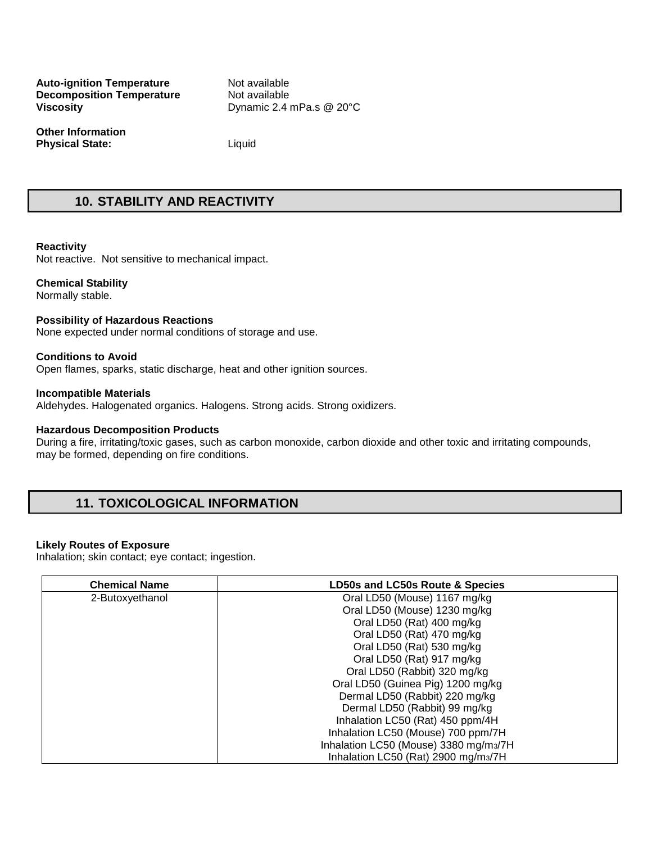**Auto-ignition Temperature Mot available Decomposition Temperature Common Not available Decomposition Temperature Viscosity Dynamic 2.4 mPa.s @ 20°C** 

**Other Information Physical State:** Liquid

## **10. STABILITY AND REACTIVITY**

#### **Reactivity**

Not reactive. Not sensitive to mechanical impact.

#### **Chemical Stability**

Normally stable.

#### **Possibility of Hazardous Reactions**

None expected under normal conditions of storage and use.

#### **Conditions to Avoid**

Open flames, sparks, static discharge, heat and other ignition sources.

#### **Incompatible Materials**

Aldehydes. Halogenated organics. Halogens. Strong acids. Strong oxidizers.

#### **Hazardous Decomposition Products**

During a fire, irritating/toxic gases, such as carbon monoxide, carbon dioxide and other toxic and irritating compounds, may be formed, depending on fire conditions.

## **11. TOXICOLOGICAL INFORMATION**

#### **Likely Routes of Exposure**

Inhalation; skin contact; eye contact; ingestion.

| <b>Chemical Name</b> | LD50s and LC50s Route & Species                  |  |  |
|----------------------|--------------------------------------------------|--|--|
| 2-Butoxyethanol      | Oral LD50 (Mouse) 1167 mg/kg                     |  |  |
|                      | Oral LD50 (Mouse) 1230 mg/kg                     |  |  |
|                      | Oral LD50 (Rat) 400 mg/kg                        |  |  |
|                      | Oral LD50 (Rat) 470 mg/kg                        |  |  |
|                      | Oral LD50 (Rat) 530 mg/kg                        |  |  |
|                      | Oral LD50 (Rat) 917 mg/kg                        |  |  |
|                      | Oral LD50 (Rabbit) 320 mg/kg                     |  |  |
|                      | Oral LD50 (Guinea Pig) 1200 mg/kg                |  |  |
|                      | Dermal LD50 (Rabbit) 220 mg/kg                   |  |  |
|                      | Dermal LD50 (Rabbit) 99 mg/kg                    |  |  |
|                      | Inhalation LC50 (Rat) 450 ppm/4H                 |  |  |
|                      | Inhalation LC50 (Mouse) 700 ppm/7H               |  |  |
|                      | Inhalation LC50 (Mouse) 3380 mg/m3/7H            |  |  |
|                      | Inhalation LC50 (Rat) 2900 mg/m <sub>3</sub> /7H |  |  |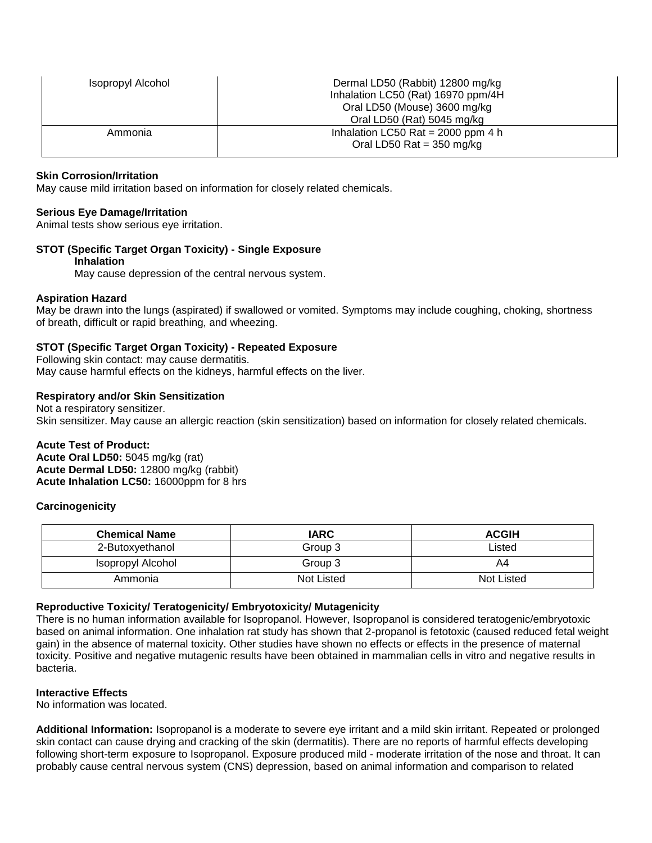| <b>Isopropyl Alcohol</b> | Dermal LD50 (Rabbit) 12800 mg/kg<br>Inhalation LC50 (Rat) 16970 ppm/4H<br>Oral LD50 (Mouse) 3600 mg/kg<br>Oral LD50 (Rat) 5045 mg/kg |  |
|--------------------------|--------------------------------------------------------------------------------------------------------------------------------------|--|
| Ammonia                  | Inhalation LC50 Rat = $2000$ ppm 4 h<br>Oral LD50 Rat = $350 \text{ mg/kg}$                                                          |  |

### **Skin Corrosion/Irritation**

May cause mild irritation based on information for closely related chemicals.

#### **Serious Eye Damage/Irritation**

Animal tests show serious eye irritation.

### **STOT (Specific Target Organ Toxicity) - Single Exposure**

#### **Inhalation**

May cause depression of the central nervous system.

#### **Aspiration Hazard**

May be drawn into the lungs (aspirated) if swallowed or vomited. Symptoms may include coughing, choking, shortness of breath, difficult or rapid breathing, and wheezing.

#### **STOT (Specific Target Organ Toxicity) - Repeated Exposure**

Following skin contact: may cause dermatitis. May cause harmful effects on the kidneys, harmful effects on the liver.

#### **Respiratory and/or Skin Sensitization**

Not a respiratory sensitizer. Skin sensitizer. May cause an allergic reaction (skin sensitization) based on information for closely related chemicals.

#### **Acute Test of Product:**

**Acute Oral LD50:** 5045 mg/kg (rat) **Acute Dermal LD50:** 12800 mg/kg (rabbit) **Acute Inhalation LC50:** 16000ppm for 8 hrs

#### **Carcinogenicity**

| <b>Chemical Name</b> | <b>IARC</b> | <b>ACGIH</b>      |
|----------------------|-------------|-------------------|
| 2-Butoxyethanol      | Group 3     | ∟isted            |
| Isopropyl Alcohol    | Group 3     | A4                |
| Ammonia              | Not Listed  | <b>Not Listed</b> |

#### **Reproductive Toxicity/ Teratogenicity/ Embryotoxicity/ Mutagenicity**

There is no human information available for Isopropanol. However, Isopropanol is considered teratogenic/embryotoxic based on animal information. One inhalation rat study has shown that 2-propanol is fetotoxic (caused reduced fetal weight gain) in the absence of maternal toxicity. Other studies have shown no effects or effects in the presence of maternal toxicity. Positive and negative mutagenic results have been obtained in mammalian cells in vitro and negative results in bacteria.

#### **Interactive Effects**

No information was located.

**Additional Information:** Isopropanol is a moderate to severe eye irritant and a mild skin irritant. Repeated or prolonged skin contact can cause drying and cracking of the skin (dermatitis). There are no reports of harmful effects developing following short-term exposure to Isopropanol. Exposure produced mild - moderate irritation of the nose and throat. It can probably cause central nervous system (CNS) depression, based on animal information and comparison to related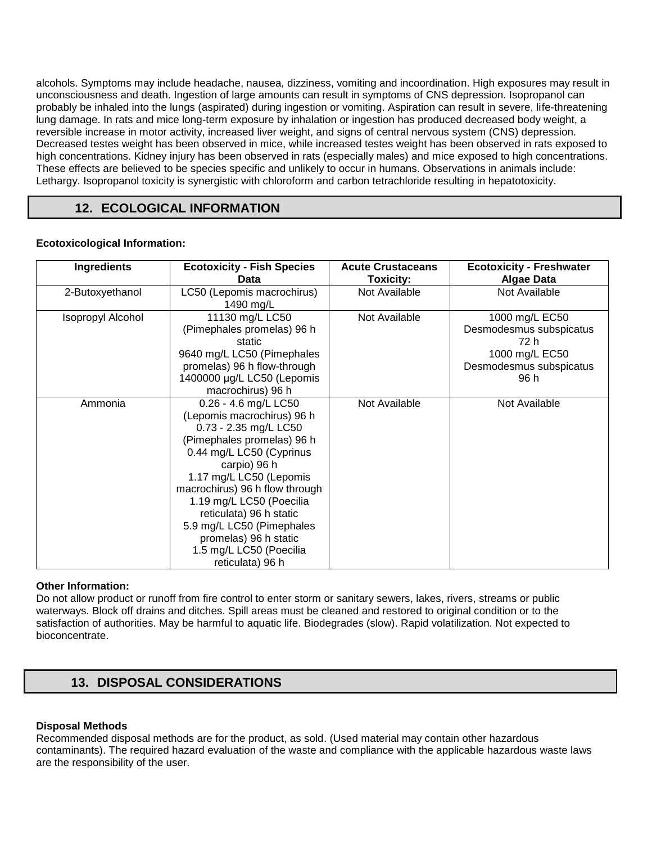alcohols. Symptoms may include headache, nausea, dizziness, vomiting and incoordination. High exposures may result in unconsciousness and death. Ingestion of large amounts can result in symptoms of CNS depression. Isopropanol can probably be inhaled into the lungs (aspirated) during ingestion or vomiting. Aspiration can result in severe, life-threatening lung damage. In rats and mice long-term exposure by inhalation or ingestion has produced decreased body weight, a reversible increase in motor activity, increased liver weight, and signs of central nervous system (CNS) depression. Decreased testes weight has been observed in mice, while increased testes weight has been observed in rats exposed to high concentrations. Kidney injury has been observed in rats (especially males) and mice exposed to high concentrations. These effects are believed to be species specific and unlikely to occur in humans. Observations in animals include: Lethargy. Isopropanol toxicity is synergistic with chloroform and carbon tetrachloride resulting in hepatotoxicity.

# **12. ECOLOGICAL INFORMATION**

## **Ecotoxicological Information:**

| <b>Ingredients</b>       | <b>Ecotoxicity - Fish Species</b><br>Data                                                                                                                                                                                                                                                                                                                                      | <b>Acute Crustaceans</b><br><b>Toxicity:</b> | <b>Ecotoxicity - Freshwater</b><br><b>Algae Data</b>                                                   |
|--------------------------|--------------------------------------------------------------------------------------------------------------------------------------------------------------------------------------------------------------------------------------------------------------------------------------------------------------------------------------------------------------------------------|----------------------------------------------|--------------------------------------------------------------------------------------------------------|
| 2-Butoxyethanol          | LC50 (Lepomis macrochirus)<br>1490 mg/L                                                                                                                                                                                                                                                                                                                                        | Not Available                                | Not Available                                                                                          |
| <b>Isopropyl Alcohol</b> | 11130 mg/L LC50<br>(Pimephales promelas) 96 h<br>static<br>9640 mg/L LC50 (Pimephales<br>promelas) 96 h flow-through<br>1400000 µg/L LC50 (Lepomis<br>macrochirus) 96 h                                                                                                                                                                                                        | Not Available                                | 1000 mg/L EC50<br>Desmodesmus subspicatus<br>72 h<br>1000 mg/L EC50<br>Desmodesmus subspicatus<br>96 h |
| Ammonia                  | 0.26 - 4.6 mg/L LC50<br>(Lepomis macrochirus) 96 h<br>0.73 - 2.35 mg/L LC50<br>(Pimephales promelas) 96 h<br>0.44 mg/L LC50 (Cyprinus<br>carpio) 96 h<br>1.17 mg/L LC50 (Lepomis<br>macrochirus) 96 h flow through<br>1.19 mg/L LC50 (Poecilia<br>reticulata) 96 h static<br>5.9 mg/L LC50 (Pimephales<br>promelas) 96 h static<br>1.5 mg/L LC50 (Poecilia<br>reticulata) 96 h | Not Available                                | Not Available                                                                                          |

## **Other Information:**

Do not allow product or runoff from fire control to enter storm or sanitary sewers, lakes, rivers, streams or public waterways. Block off drains and ditches. Spill areas must be cleaned and restored to original condition or to the satisfaction of authorities. May be harmful to aquatic life. Biodegrades (slow). Rapid volatilization. Not expected to bioconcentrate.

# **13. DISPOSAL CONSIDERATIONS**

## **Disposal Methods**

Recommended disposal methods are for the product, as sold. (Used material may contain other hazardous contaminants). The required hazard evaluation of the waste and compliance with the applicable hazardous waste laws are the responsibility of the user.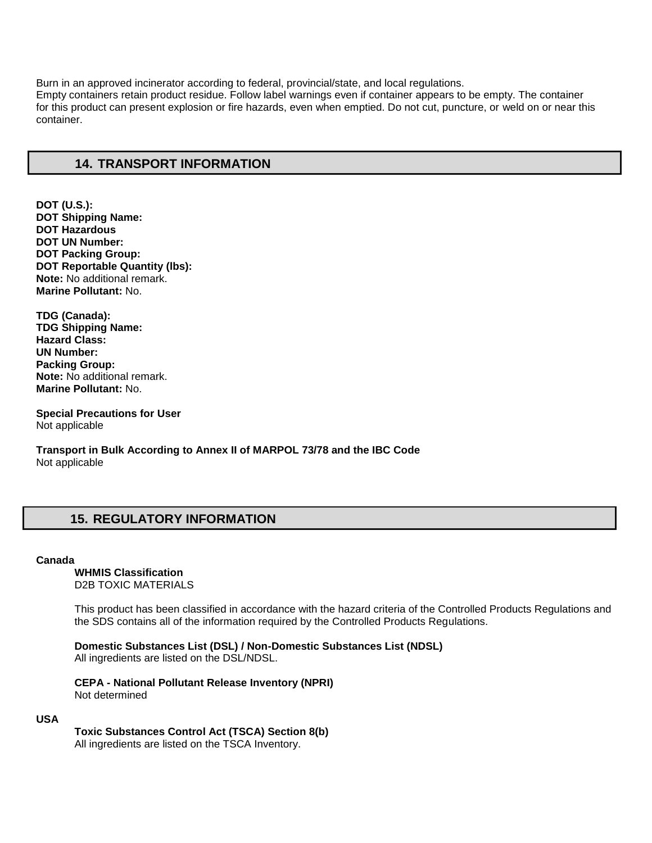Burn in an approved incinerator according to federal, provincial/state, and local regulations. Empty containers retain product residue. Follow label warnings even if container appears to be empty. The container for this product can present explosion or fire hazards, even when emptied. Do not cut, puncture, or weld on or near this container.

## **14. TRANSPORT INFORMATION**

**DOT (U.S.): DOT Shipping Name: DOT Hazardous DOT UN Number: DOT Packing Group: DOT Reportable Quantity (lbs): Note:** No additional remark. **Marine Pollutant:** No.

**TDG (Canada): TDG Shipping Name: Hazard Class: UN Number: Packing Group: Note:** No additional remark. **Marine Pollutant:** No.

**Special Precautions for User** Not applicable

**Transport in Bulk According to Annex II of MARPOL 73/78 and the IBC Code**  Not applicable

# **15. REGULATORY INFORMATION**

#### **Canada**

**WHMIS Classification**  D2B TOXIC MATERIALS

This product has been classified in accordance with the hazard criteria of the Controlled Products Regulations and the SDS contains all of the information required by the Controlled Products Regulations.

**Domestic Substances List (DSL) / Non-Domestic Substances List (NDSL)**  All ingredients are listed on the DSL/NDSL.

**CEPA - National Pollutant Release Inventory (NPRI)**  Not determined

#### **USA**

**Toxic Substances Control Act (TSCA) Section 8(b)** 

All ingredients are listed on the TSCA Inventory.